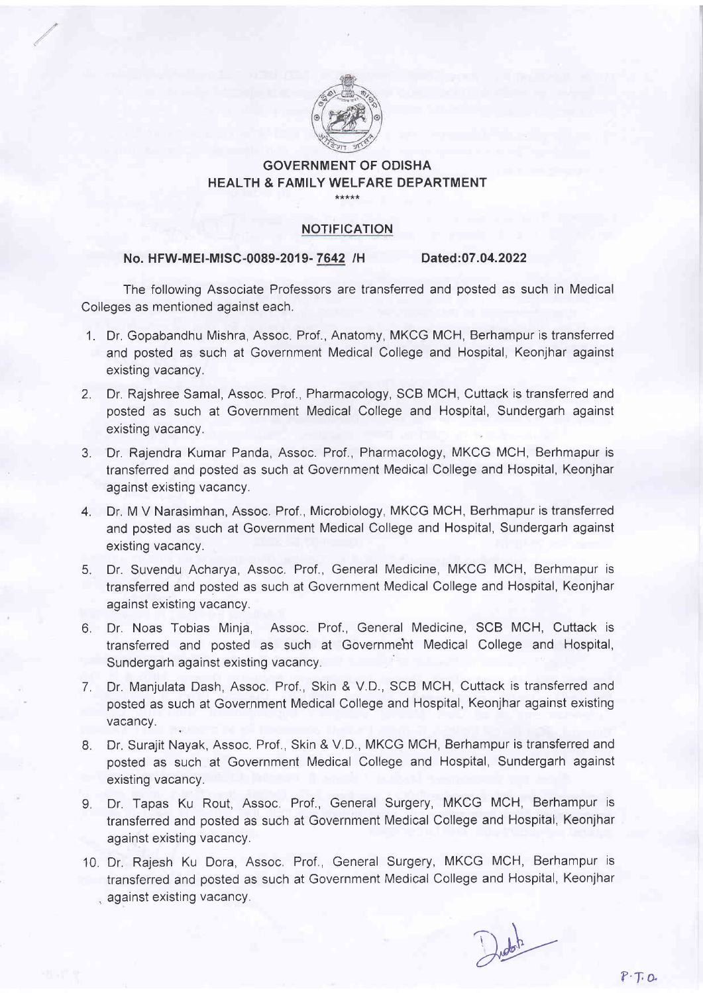

# GOVERNMENT OF ODISHA HEALTH & FAMILY WELFARE DEPARTMENT

.....

## NOTIFICATION

## No. HFW-MEI-MISC-0089-2019-7642 /H Dated:07.04.2022

The following Associate Professors are transferred and posted as such in Medical Colleges as mentioned against each.

- 1. Dr. Gopabandhu Mishra, Assoc. Prof., Anatomy, MKCG MCH, Berhampur is transferred and posted as such at Government Medical College and Hospital, Keonjhar against existing vacancy.
- 2. Dr. Rajshree Samal, Assoc. Prof., Pharmacology, SCB MCH, Cuttack is transferred and posted as such at Government Medical College and Hospital, Sundergarh against existing vacancy.
- 3. Dr. Rajendra Kumar Panda, Assoc. Prof., Pharmacology, MKCG MCH, Berhmapur is transferred and posted as such at Government Medical College and Hospital, Keonjhar against existing vacancy.
- 4. Dr. M V Narasimhan, Assoc. Prof., Microbiology, MKCG MCH, Berhmapur is transferred and posted as such at Government Medical College and Hospital, Sundergarh against existing vacancy.
- 5. Dr. Suvendu Acharya, Assoc. Prof., General Medicine, MKCG MCH, Berhmapur is transferred and posted as such at Government Medical College and Hospital, Keonjhar against existing vacancy.
- 6. Dr. Noas Tobias Minja, Assoc. Prof., General Medicine, SCB MCH, Cuttack is transferred and posted as such at Governmeht Medical College and Hospital, Sundergarh against existing vacancy.
- 7. Dr. Manjulata Dash, Assoc. Prof., Skin & V.D., SCB MCH, Cuttack is transferred and posted as such at Government Medical College and Hospital, Keonjhar against existing vacancy.
- 8. Dr. Surajit Nayak, Assoc. Prof., Skin & V.D., MKCG MCH, Berhampur is transferred and posted as such at Government Medical College and Hospital, Sundergarh against existing vacancy.
- 9. Dr. Tapas Ku Rout, Assoc. Prof., General Surgery, MKCG MCH, Berhampur is transferred and posted as such at Government Medical College and Hospital, Keonjhar against existing vacancy.
- 10. Dr. Rajesh Ku Dora, Assoc, Prof., General Surgery, MKCG MCH, Berhampur is transferred and posted as such at Government Medical College and Hospital, Keonjhar . against existing vacancy.

Dudoh<br>P.T.O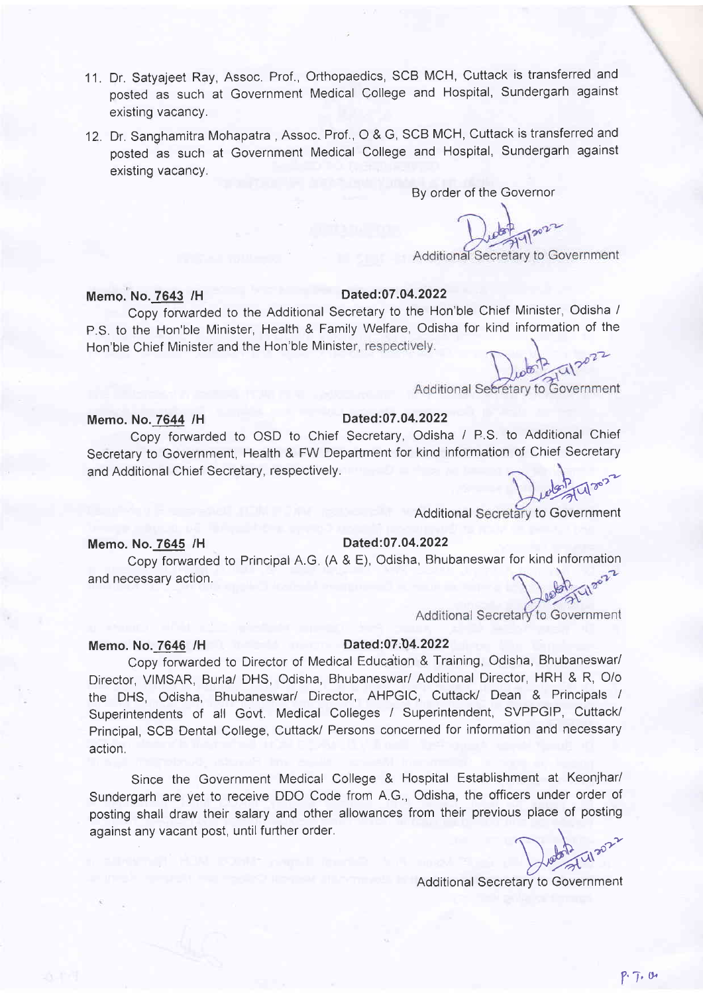- 11. Dr. Satyajeet Ray, Assoc. Prof., Orthopaedics, SCB MCH, Cuttack is transferred and posted as such at Government Medical College and Hospital, Sundergarh against existing vacancy.
- 12. Dr. Sanghamitra Mohapatra , Assoc, Prof., O & G, SCB MCH, Cuttack is transferred and posted as such at Government Medical College and Hospital, Sundergarh against existing vacancy,

By order of the Governor

Additional Secretary to Government

# Memo. No.7643 /H

## Dated:07.04.2022

Copy foruvarded to the Additional Secretary to the Hon'ble Chief Minister, Odisha / p.S. to the Hon'ble Minister, Health & Family Welfare, Odisha for kind information of the Hon'ble Chief Minister and the Hon'ble Minister, respectively.

Additional Secretary to Government

# Memo. No.7644 /H Dated:07.04.2022

Copy forwarded to OSD to Chief Secretary, Odisha / P.S. to Additional Chief Secretary to Government, Health & FW Department for kind information of Chief Secretary and Additional Chief Secretary, respectively.

 $\frac{1}{2}$  W  $\frac{1}{2}$ 

Additional Secretary to Government

### Memo. No.7645 /H

# Dated:07.04.2022

Copy forwarded to Principal A.G (A & E), Odisha, Bhubaneswar for kind information and necessary action.

Additional Secretary to Government

# Memo. No. 7646 /H Dated:07:04.2022

Copy forwarded to Director of Medical Educaiion & Training, Odisha, Bhubaneswar/ Director, VIMSAR, Burla/ DHS, Odisha, Bhubaneswari Additional Director, HRH & R, O/o the DHS, Odisha, Bhubaneswar/ Director, AHPGIC, Cuttack/ Dean & Principals <sup>I</sup> Superintendents of all Govt. Medical Colleges / Superintendent, SVPPGIP, Cuttack/ Principal, SCB Dental College, Cuttack/ Persons concerned for information and necessary action.

Since the Government Medical College & Hospital Establishment at Keonjhar/ Sundergarh are yet to receive DDO Code from A.G., Odisha, the officers under order of posting shall draw their salary and other allowances from their previous place of posting against any vacant post, until further order.

Dudon Class

Additional Secretary to Government